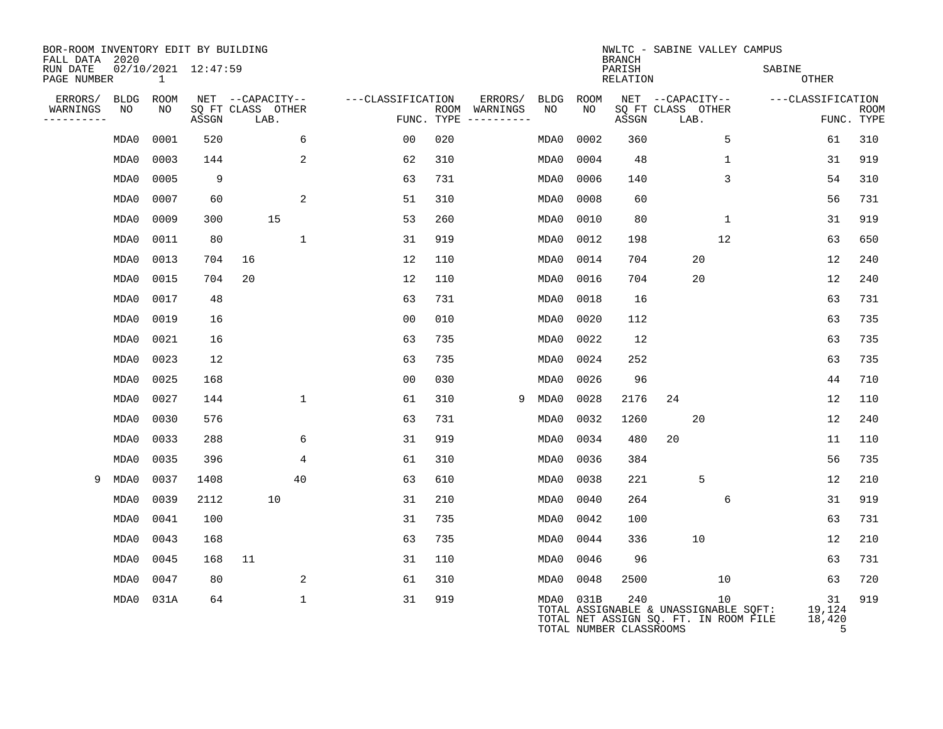| BOR-ROOM INVENTORY EDIT BY BUILDING<br>FALL DATA<br>2020 |      |              |                     |      |                   |                   |                    |                        |      |           | <b>BRANCH</b>                  |                                                                                |              | NWLTC - SABINE VALLEY CAMPUS |                             |             |  |
|----------------------------------------------------------|------|--------------|---------------------|------|-------------------|-------------------|--------------------|------------------------|------|-----------|--------------------------------|--------------------------------------------------------------------------------|--------------|------------------------------|-----------------------------|-------------|--|
| RUN DATE<br>PAGE NUMBER                                  |      | $\mathbf{1}$ | 02/10/2021 12:47:59 |      |                   |                   |                    |                        |      |           | PARISH<br><b>RELATION</b>      |                                                                                |              | SABINE<br>OTHER              |                             |             |  |
| ERRORS/                                                  | BLDG | ROOM         |                     |      | NET --CAPACITY--  | ---CLASSIFICATION |                    | ERRORS/                |      | BLDG ROOM |                                | NET --CAPACITY--                                                               |              | ---CLASSIFICATION            |                             |             |  |
| WARNINGS<br>----------                                   | NO   | NO           | ASSGN               | LAB. | SQ FT CLASS OTHER |                   | ROOM<br>FUNC. TYPE | WARNINGS<br>---------- | NO   | NO        | ASSGN                          | SQ FT CLASS OTHER<br>LAB.                                                      |              |                              | FUNC. TYPE                  | <b>ROOM</b> |  |
|                                                          | MDA0 | 0001         | 520                 |      | 6                 | 0 <sub>0</sub>    | 020                |                        | MDA0 | 0002      | 360                            |                                                                                | 5            |                              | 61                          | 310         |  |
|                                                          | MDA0 | 0003         | 144                 |      | 2                 | 62                | 310                |                        | MDA0 | 0004      | 48                             |                                                                                | $\mathbf{1}$ |                              | 31                          | 919         |  |
|                                                          | MDA0 | 0005         | 9                   |      |                   | 63                | 731                |                        | MDA0 | 0006      | 140                            |                                                                                | 3            |                              | 54                          | 310         |  |
|                                                          | MDA0 | 0007         | 60                  |      | 2                 | 51                | 310                |                        | MDA0 | 0008      | 60                             |                                                                                |              |                              | 56                          | 731         |  |
|                                                          | MDA0 | 0009         | 300                 |      | 15                | 53                | 260                |                        | MDA0 | 0010      | 80                             |                                                                                | $\mathbf{1}$ |                              | 31                          | 919         |  |
|                                                          | MDA0 | 0011         | 80                  |      | 1                 | 31                | 919                |                        | MDA0 | 0012      | 198                            |                                                                                | 12           |                              | 63                          | 650         |  |
|                                                          | MDA0 | 0013         | 704                 | 16   |                   | 12                | 110                |                        | MDA0 | 0014      | 704                            |                                                                                | 20           |                              | 12                          | 240         |  |
|                                                          | MDA0 | 0015         | 704                 | 20   |                   | 12                | 110                |                        | MDA0 | 0016      | 704                            |                                                                                | 20           |                              | 12                          | 240         |  |
|                                                          | MDA0 | 0017         | 48                  |      |                   | 63                | 731                |                        | MDA0 | 0018      | 16                             |                                                                                |              |                              | 63                          | 731         |  |
|                                                          | MDA0 | 0019         | 16                  |      |                   | 0 <sub>0</sub>    | 010                |                        | MDA0 | 0020      | 112                            |                                                                                |              |                              | 63                          | 735         |  |
|                                                          | MDA0 | 0021         | 16                  |      |                   | 63                | 735                |                        | MDA0 | 0022      | 12                             |                                                                                |              |                              | 63                          | 735         |  |
|                                                          | MDA0 | 0023         | 12                  |      |                   | 63                | 735                |                        | MDA0 | 0024      | 252                            |                                                                                |              |                              | 63                          | 735         |  |
|                                                          | MDA0 | 0025         | 168                 |      |                   | 0 <sub>0</sub>    | 030                |                        | MDA0 | 0026      | 96                             |                                                                                |              |                              | 44                          | 710         |  |
|                                                          | MDA0 | 0027         | 144                 |      | $\mathbf{1}$      | 61                | 310                | 9                      | MDA0 | 0028      | 2176                           | 24                                                                             |              |                              | 12                          | 110         |  |
|                                                          | MDA0 | 0030         | 576                 |      |                   | 63                | 731                |                        | MDA0 | 0032      | 1260                           |                                                                                | 20           |                              | 12                          | 240         |  |
|                                                          | MDA0 | 0033         | 288                 |      | 6                 | 31                | 919                |                        | MDA0 | 0034      | 480                            | 20                                                                             |              |                              | 11                          | 110         |  |
|                                                          | MDA0 | 0035         | 396                 |      | 4                 | 61                | 310                |                        | MDA0 | 0036      | 384                            |                                                                                |              |                              | 56                          | 735         |  |
| 9                                                        | MDA0 | 0037         | 1408                |      | 40                | 63                | 610                |                        | MDA0 | 0038      | 221                            |                                                                                | 5            |                              | 12                          | 210         |  |
|                                                          | MDA0 | 0039         | 2112                |      | 10                | 31                | 210                |                        | MDA0 | 0040      | 264                            |                                                                                | 6            |                              | 31                          | 919         |  |
|                                                          | MDA0 | 0041         | 100                 |      |                   | 31                | 735                |                        | MDA0 | 0042      | 100                            |                                                                                |              |                              | 63                          | 731         |  |
|                                                          | MDA0 | 0043         | 168                 |      |                   | 63                | 735                |                        | MDA0 | 0044      | 336                            |                                                                                | 10           |                              | 12                          | 210         |  |
|                                                          | MDA0 | 0045         | 168                 | 11   |                   | 31                | 110                |                        | MDA0 | 0046      | 96                             |                                                                                |              |                              | 63                          | 731         |  |
|                                                          | MDA0 | 0047         | 80                  |      | 2                 | 61                | 310                |                        | MDA0 | 0048      | 2500                           |                                                                                | 10           |                              | 63                          | 720         |  |
|                                                          | MDA0 | 031A         | 64                  |      | 1                 | 31                | 919                |                        |      | MDA0 031B | 240<br>TOTAL NUMBER CLASSROOMS | TOTAL ASSIGNABLE & UNASSIGNABLE SQFT:<br>TOTAL NET ASSIGN SQ. FT. IN ROOM FILE | 10           |                              | 31<br>19,124<br>18,420<br>5 | 919         |  |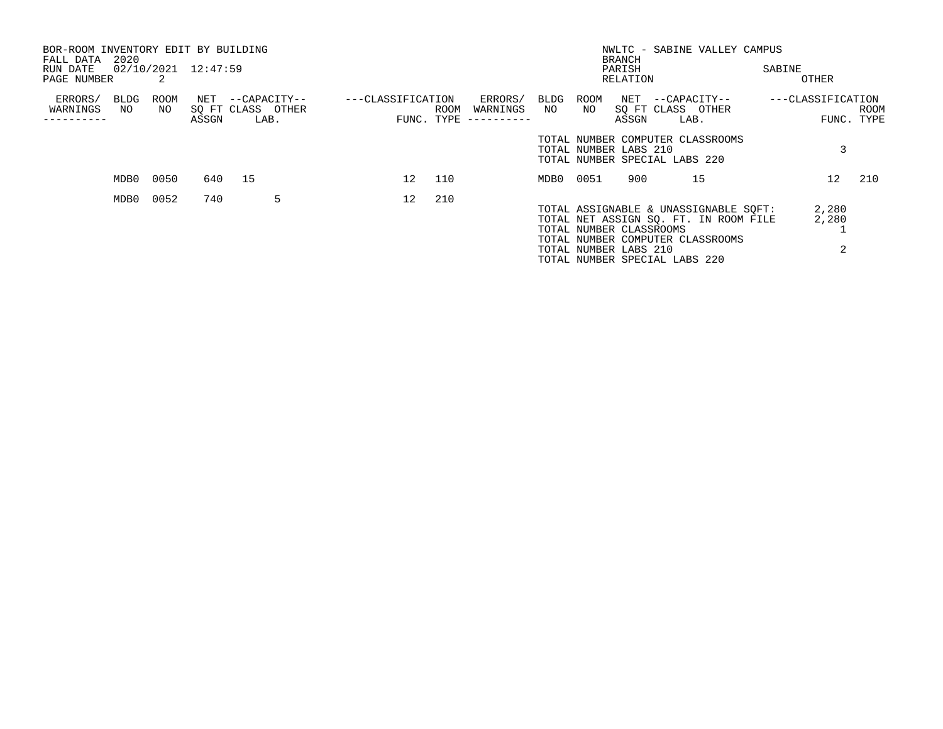| BOR-ROOM INVENTORY EDIT BY BUILDING<br>FALL DATA | 2020       |            |       |        |                                   |                   |                 |            |                     |              |                         | <b>BRANCH</b> |  | NWLTC - SABINE VALLEY CAMPUS                                      |  |                   |      |
|--------------------------------------------------|------------|------------|-------|--------|-----------------------------------|-------------------|-----------------|------------|---------------------|--------------|-------------------------|---------------|--|-------------------------------------------------------------------|--|-------------------|------|
| RUN DATE                                         |            |            |       |        |                                   |                   | PARISH          |            |                     |              |                         | SABINE        |  |                                                                   |  |                   |      |
| 02/10/2021 12:47:59<br>PAGE NUMBER               |            |            |       |        |                                   |                   |                 |            | RELATION            |              |                         |               |  | OTHER                                                             |  |                   |      |
| ERRORS/<br>WARNINGS                              | BLDG<br>NO | ROOM<br>NO | NET   |        | --CAPACITY--<br>SO FT CLASS OTHER | ---CLASSIFICATION |                 | ROOM       | ERRORS/<br>WARNINGS | BLDG<br>NO . | ROOM<br>NO              |               |  | NET --CAPACITY--<br>SQ FT CLASS OTHER                             |  | ---CLASSIFICATION | ROOM |
|                                                  |            |            | ASSGN |        | LAB.                              |                   |                 | FUNC. TYPE | -----------         |              |                         | ASSGN         |  | LAB.                                                              |  | FUNC. TYPE        |      |
|                                                  |            |            |       |        |                                   |                   |                 |            |                     |              | TOTAL NUMBER LABS 210   |               |  | TOTAL NUMBER COMPUTER CLASSROOMS                                  |  |                   |      |
|                                                  |            |            |       |        |                                   |                   |                 |            |                     |              |                         |               |  | TOTAL NUMBER SPECIAL LABS 220                                     |  |                   |      |
|                                                  | MDB0       | 0050       |       | 640 15 |                                   |                   | 12 <sup>1</sup> | 110        |                     | MDB0 0051    |                         | 900           |  | 15                                                                |  | 12 <sup>°</sup>   | 210  |
|                                                  | MDB0       | 0052       | 740   |        | 5                                 |                   | 12              | 210        |                     |              |                         |               |  |                                                                   |  |                   |      |
|                                                  |            |            |       |        |                                   |                   |                 |            |                     |              |                         |               |  | TOTAL ASSIGNABLE & UNASSIGNABLE SOFT:                             |  | 2,280             |      |
|                                                  |            |            |       |        |                                   |                   |                 |            |                     |              |                         |               |  | TOTAL NET ASSIGN SO. FT. IN ROOM FILE                             |  | 2,280             |      |
|                                                  |            |            |       |        |                                   |                   |                 |            |                     |              | TOTAL NUMBER CLASSROOMS |               |  |                                                                   |  |                   |      |
|                                                  |            |            |       |        |                                   |                   |                 |            |                     |              | TOTAL NUMBER LABS 210   |               |  | TOTAL NUMBER COMPUTER CLASSROOMS<br>TOTAL NUMBER SPECIAL LABS 220 |  | 2                 |      |
|                                                  |            |            |       |        |                                   |                   |                 |            |                     |              |                         |               |  |                                                                   |  |                   |      |